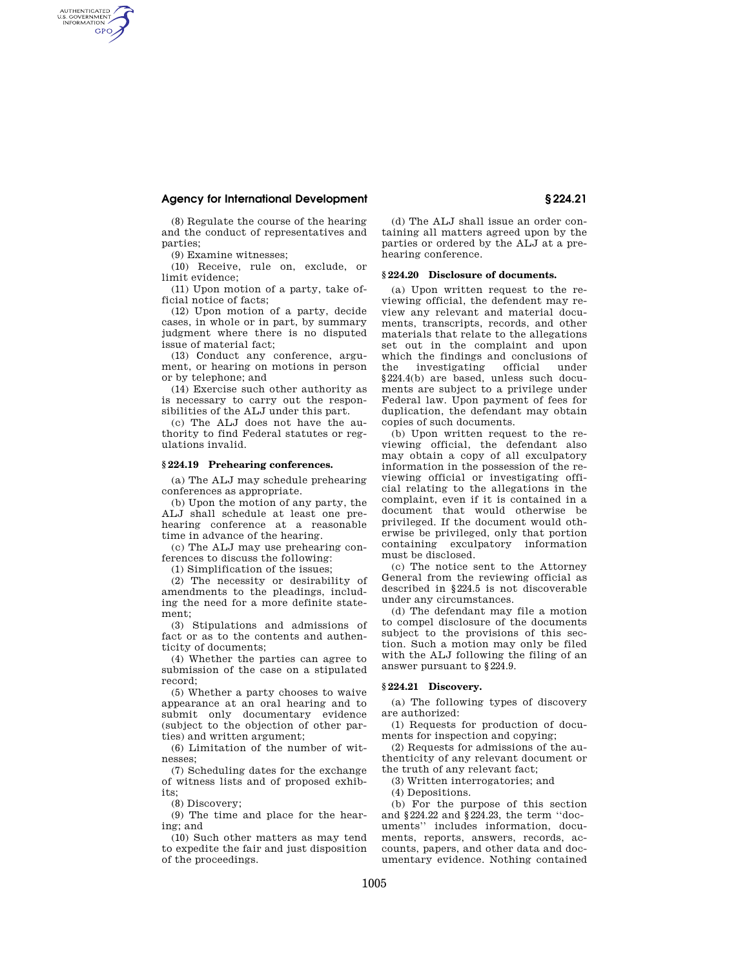## **Agency for International Development § 224.21**

(8) Regulate the course of the hearing and the conduct of representatives and parties;

(9) Examine witnesses;

AUTHENTICATED<br>U.S. GOVERNMENT<br>INFORMATION **GPO** 

> (10) Receive, rule on, exclude, or limit evidence;

> (11) Upon motion of a party, take official notice of facts;

(12) Upon motion of a party, decide cases, in whole or in part, by summary judgment where there is no disputed issue of material fact;

(13) Conduct any conference, argument, or hearing on motions in person or by telephone; and

(14) Exercise such other authority as is necessary to carry out the responsibilities of the ALJ under this part.

(c) The ALJ does not have the authority to find Federal statutes or regulations invalid.

### **§ 224.19 Prehearing conferences.**

(a) The ALJ may schedule prehearing conferences as appropriate.

(b) Upon the motion of any party, the ALJ shall schedule at least one prehearing conference at a reasonable time in advance of the hearing.

(c) The ALJ may use prehearing conferences to discuss the following:

(1) Simplification of the issues;

(2) The necessity or desirability of amendments to the pleadings, including the need for a more definite statement;

(3) Stipulations and admissions of fact or as to the contents and authenticity of documents;

(4) Whether the parties can agree to submission of the case on a stipulated record;

(5) Whether a party chooses to waive appearance at an oral hearing and to submit only documentary evidence (subject to the objection of other parties) and written argument;

(6) Limitation of the number of witnesses;

(7) Scheduling dates for the exchange of witness lists and of proposed exhibits;

(8) Discovery;

(9) The time and place for the hearing; and

(10) Such other matters as may tend to expedite the fair and just disposition of the proceedings.

(d) The ALJ shall issue an order containing all matters agreed upon by the parties or ordered by the ALJ at a prehearing conference.

### **§ 224.20 Disclosure of documents.**

(a) Upon written request to the reviewing official, the defendent may review any relevant and material documents, transcripts, records, and other materials that relate to the allegations set out in the complaint and upon which the findings and conclusions of the investigating official under §224.4(b) are based, unless such documents are subject to a privilege under Federal law. Upon payment of fees for duplication, the defendant may obtain copies of such documents.

(b) Upon written request to the reviewing official, the defendant also may obtain a copy of all exculpatory information in the possession of the reviewing official or investigating official relating to the allegations in the complaint, even if it is contained in a document that would otherwise be privileged. If the document would otherwise be privileged, only that portion containing exculpatory information must be disclosed.

(c) The notice sent to the Attorney General from the reviewing official as described in §224.5 is not discoverable under any circumstances.

(d) The defendant may file a motion to compel disclosure of the documents subject to the provisions of this section. Such a motion may only be filed with the ALJ following the filing of an answer pursuant to §224.9.

### **§ 224.21 Discovery.**

(a) The following types of discovery are authorized:

(1) Requests for production of documents for inspection and copying;

(2) Requests for admissions of the authenticity of any relevant document or the truth of any relevant fact;

(3) Written interrogatories; and

(4) Depositions.

(b) For the purpose of this section and §224.22 and §224.23, the term ''documents'' includes information, documents, reports, answers, records, accounts, papers, and other data and documentary evidence. Nothing contained